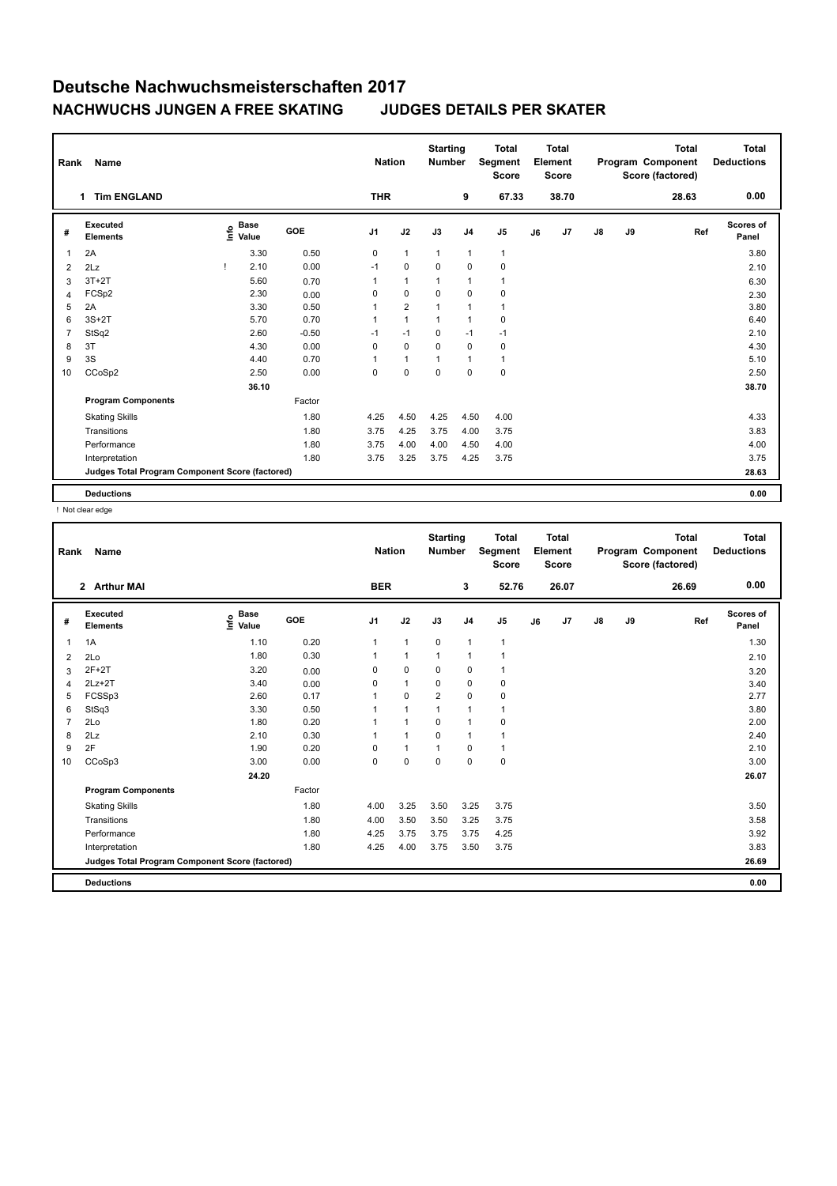| Name                        |                                |       |                                  |                                                 |                |                             |                | <b>Total</b><br>Score            |         |       |                                  |    | <b>Total</b> | <b>Total</b><br><b>Deductions</b>     |
|-----------------------------|--------------------------------|-------|----------------------------------|-------------------------------------------------|----------------|-----------------------------|----------------|----------------------------------|---------|-------|----------------------------------|----|--------------|---------------------------------------|
| <b>Tim ENGLAND</b>          |                                |       |                                  |                                                 |                |                             | 9              |                                  |         | 38.70 |                                  |    | 28.63        | 0.00                                  |
| Executed<br><b>Elements</b> |                                |       | GOE                              | J1                                              | J2             | J3                          | J <sub>4</sub> | J <sub>5</sub>                   | J6      | J7    | $\mathsf{J}8$                    | J9 | Ref          | Scores of<br>Panel                    |
| 2A                          |                                | 3.30  | 0.50                             | 0                                               | $\mathbf{1}$   | $\mathbf{1}$                | $\mathbf{1}$   | $\mathbf{1}$                     |         |       |                                  |    |              | 3.80                                  |
| 2Lz                         |                                | 2.10  | 0.00                             | $-1$                                            | 0              | $\mathbf 0$                 | $\mathbf 0$    | 0                                |         |       |                                  |    |              | 2.10                                  |
| $3T+2T$                     |                                | 5.60  | 0.70                             | 1                                               | 1              | 1                           | $\mathbf{1}$   | 1                                |         |       |                                  |    |              | 6.30                                  |
| FCSp2                       |                                | 2.30  | 0.00                             | $\Omega$                                        | $\Omega$       | $\Omega$                    | $\mathbf 0$    | 0                                |         |       |                                  |    |              | 2.30                                  |
| 2A                          |                                | 3.30  | 0.50                             |                                                 | $\overline{2}$ | 1                           | $\overline{1}$ | 1                                |         |       |                                  |    |              | 3.80                                  |
| $3S+2T$                     |                                | 5.70  | 0.70                             | 1                                               | $\mathbf{1}$   | 1                           | $\overline{1}$ | 0                                |         |       |                                  |    |              | 6.40                                  |
| StSq2                       |                                | 2.60  | $-0.50$                          | $-1$                                            | $-1$           | 0                           | $-1$           | $-1$                             |         |       |                                  |    |              | 2.10                                  |
| 3T                          |                                | 4.30  | 0.00                             | $\Omega$                                        | 0              | $\Omega$                    | $\mathbf 0$    | 0                                |         |       |                                  |    |              | 4.30                                  |
| 3S                          |                                | 4.40  | 0.70                             | 1                                               | 1              | 1                           | $\mathbf{1}$   | 1                                |         |       |                                  |    |              | 5.10                                  |
| CCoSp2                      |                                | 2.50  | 0.00                             | 0                                               | 0              | $\Omega$                    | $\mathbf 0$    | 0                                |         |       |                                  |    |              | 2.50                                  |
|                             |                                | 36.10 |                                  |                                                 |                |                             |                |                                  |         |       |                                  |    |              | 38.70                                 |
| <b>Program Components</b>   |                                |       | Factor                           |                                                 |                |                             |                |                                  |         |       |                                  |    |              |                                       |
| <b>Skating Skills</b>       |                                |       | 1.80                             | 4.25                                            | 4.50           | 4.25                        | 4.50           | 4.00                             |         |       |                                  |    |              | 4.33                                  |
| Transitions                 |                                |       | 1.80                             | 3.75                                            | 4.25           | 3.75                        | 4.00           | 3.75                             |         |       |                                  |    |              | 3.83                                  |
| Performance                 |                                |       | 1.80                             | 3.75                                            | 4.00           | 4.00                        | 4.50           | 4.00                             |         |       |                                  |    |              | 4.00                                  |
| Interpretation              |                                |       | 1.80                             | 3.75                                            | 3.25           | 3.75                        | 4.25           | 3.75                             |         |       |                                  |    |              | 3.75                                  |
|                             |                                |       |                                  |                                                 |                |                             |                |                                  |         |       |                                  |    |              | 28.63                                 |
|                             |                                |       |                                  |                                                 |                |                             |                |                                  |         |       |                                  |    |              | 0.00                                  |
|                             | Rank<br>1<br><b>Deductions</b> |       | <b>Base</b><br>e Base<br>⊆ Value | Judges Total Program Component Score (factored) |                | <b>Nation</b><br><b>THR</b> |                | <b>Starting</b><br><b>Number</b> | Segment | 67.33 | <b>Total</b><br>Element<br>Score |    |              | Program Component<br>Score (factored) |

! Not clear edge

| Rank           | <b>Name</b><br>2 Arthur MAI                     |                                  |        |                | <b>Nation</b> | <b>Starting</b><br><b>Number</b> |                | <b>Total</b><br>Segment<br><b>Score</b> |    | <b>Total</b><br>Element<br><b>Score</b> |               |    | <b>Total</b><br>Program Component<br>Score (factored) | <b>Total</b><br><b>Deductions</b> |
|----------------|-------------------------------------------------|----------------------------------|--------|----------------|---------------|----------------------------------|----------------|-----------------------------------------|----|-----------------------------------------|---------------|----|-------------------------------------------------------|-----------------------------------|
|                |                                                 |                                  |        | <b>BER</b>     |               |                                  | 3              | 52.76                                   |    | 26.07                                   |               |    | 26.69                                                 | 0.00                              |
| #              | Executed<br><b>Elements</b>                     | <b>Base</b><br>e Base<br>⊆ Value | GOE    | J <sub>1</sub> | J2            | J3                               | J <sub>4</sub> | J <sub>5</sub>                          | J6 | J7                                      | $\mathsf{J}8$ | J9 | Ref                                                   | Scores of<br>Panel                |
| $\overline{1}$ | 1A                                              | 1.10                             | 0.20   | $\mathbf{1}$   | $\mathbf{1}$  | 0                                | $\mathbf{1}$   | $\mathbf{1}$                            |    |                                         |               |    |                                                       | 1.30                              |
| 2              | 2Lo                                             | 1.80                             | 0.30   | 1              | $\mathbf{1}$  | $\mathbf{1}$                     | $\mathbf{1}$   | $\mathbf{1}$                            |    |                                         |               |    |                                                       | 2.10                              |
| 3              | $2F+2T$                                         | 3.20                             | 0.00   | 0              | 0             | 0                                | 0              | $\mathbf{1}$                            |    |                                         |               |    |                                                       | 3.20                              |
| 4              | $2Lz+2T$                                        | 3.40                             | 0.00   | 0              | $\mathbf{1}$  | 0                                | $\mathbf 0$    | 0                                       |    |                                         |               |    |                                                       | 3.40                              |
| 5              | FCSSp3                                          | 2.60                             | 0.17   |                | $\mathbf 0$   | $\overline{2}$                   | $\mathbf 0$    | 0                                       |    |                                         |               |    |                                                       | 2.77                              |
| 6              | StSq3                                           | 3.30                             | 0.50   |                | $\mathbf{1}$  |                                  | $\mathbf{1}$   | 1                                       |    |                                         |               |    |                                                       | 3.80                              |
| $\overline{7}$ | 2Lo                                             | 1.80                             | 0.20   |                | $\mathbf{1}$  | $\mathbf 0$                      | $\mathbf{1}$   | 0                                       |    |                                         |               |    |                                                       | 2.00                              |
| 8              | 2Lz                                             | 2.10                             | 0.30   |                | $\mathbf{1}$  | $\Omega$                         | $\mathbf{1}$   | 1                                       |    |                                         |               |    |                                                       | 2.40                              |
| 9              | 2F                                              | 1.90                             | 0.20   | 0              | $\mathbf{1}$  | 1                                | 0              | $\mathbf{1}$                            |    |                                         |               |    |                                                       | 2.10                              |
| 10             | CCoSp3                                          | 3.00                             | 0.00   | 0              | $\mathbf 0$   | $\mathbf 0$                      | $\mathbf 0$    | 0                                       |    |                                         |               |    |                                                       | 3.00                              |
|                |                                                 | 24.20                            |        |                |               |                                  |                |                                         |    |                                         |               |    |                                                       | 26.07                             |
|                | <b>Program Components</b>                       |                                  | Factor |                |               |                                  |                |                                         |    |                                         |               |    |                                                       |                                   |
|                | <b>Skating Skills</b>                           |                                  | 1.80   | 4.00           | 3.25          | 3.50                             | 3.25           | 3.75                                    |    |                                         |               |    |                                                       | 3.50                              |
|                | Transitions                                     |                                  | 1.80   | 4.00           | 3.50          | 3.50                             | 3.25           | 3.75                                    |    |                                         |               |    |                                                       | 3.58                              |
|                | Performance                                     |                                  | 1.80   | 4.25           | 3.75          | 3.75                             | 3.75           | 4.25                                    |    |                                         |               |    |                                                       | 3.92                              |
|                | Interpretation                                  |                                  | 1.80   | 4.25           | 4.00          | 3.75                             | 3.50           | 3.75                                    |    |                                         |               |    |                                                       | 3.83                              |
|                | Judges Total Program Component Score (factored) |                                  |        |                |               |                                  |                |                                         |    |                                         |               |    |                                                       | 26.69                             |
|                | <b>Deductions</b>                               |                                  |        |                |               |                                  |                |                                         |    |                                         |               |    |                                                       | 0.00                              |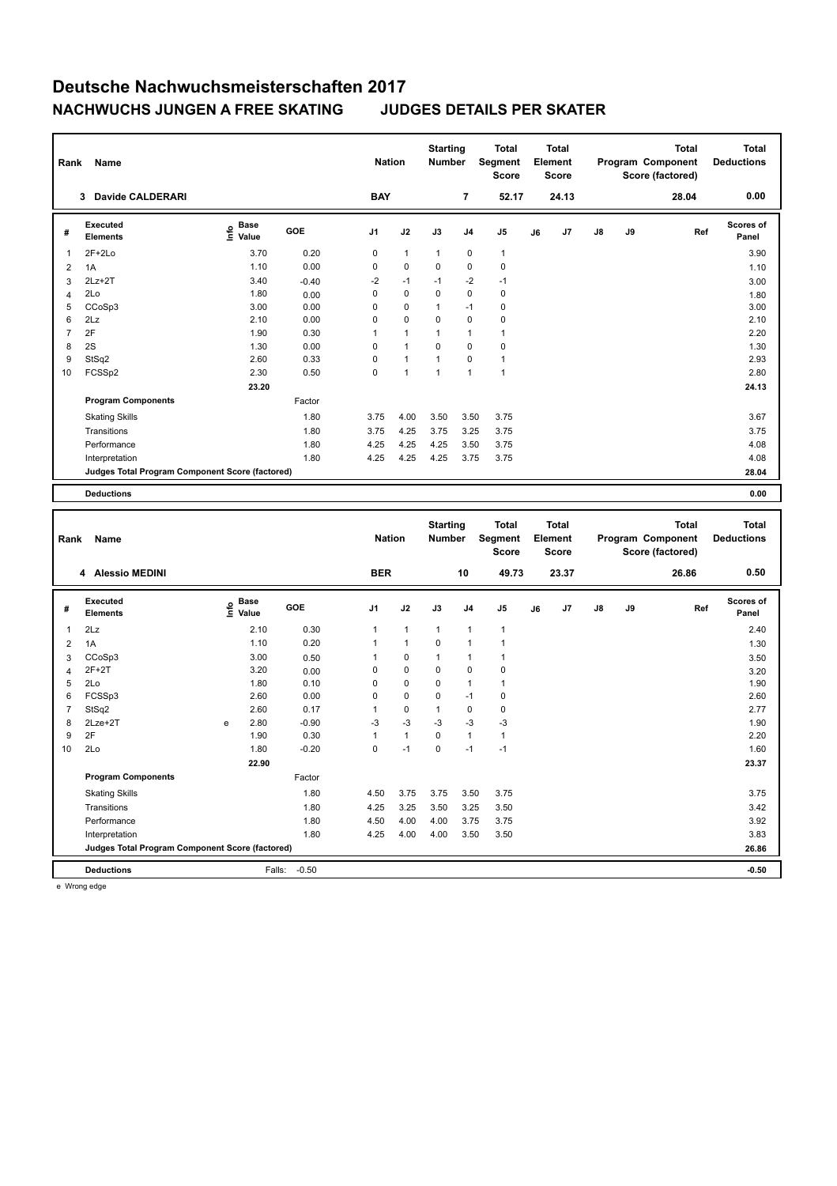| Rank           | <b>Name</b>                                     |                                  |            | <b>Nation</b>  |                | <b>Starting</b><br><b>Number</b> |                | <b>Total</b><br>Segment<br>Score |    | <b>Total</b><br>Element<br>Score |               |    | <b>Total</b><br>Program Component<br>Score (factored) | Total<br><b>Deductions</b> |
|----------------|-------------------------------------------------|----------------------------------|------------|----------------|----------------|----------------------------------|----------------|----------------------------------|----|----------------------------------|---------------|----|-------------------------------------------------------|----------------------------|
|                | Davide CALDERARI<br>3                           |                                  |            | <b>BAY</b>     |                |                                  | $\overline{7}$ | 52.17                            |    | 24.13                            |               |    | 28.04                                                 | 0.00                       |
| #              | Executed<br><b>Elements</b>                     | <b>Base</b><br>e Base<br>⊆ Value | <b>GOE</b> | J <sub>1</sub> | J2             | J3                               | J <sub>4</sub> | J <sub>5</sub>                   | J6 | J7                               | $\mathsf{J}8$ | J9 | Ref                                                   | <b>Scores of</b><br>Panel  |
| 1              | $2F+2Lo$                                        | 3.70                             | 0.20       | 0              | $\mathbf{1}$   | $\mathbf{1}$                     | 0              | $\mathbf{1}$                     |    |                                  |               |    |                                                       | 3.90                       |
| 2              | 1A                                              | 1.10                             | 0.00       | 0              | 0              | 0                                | 0              | 0                                |    |                                  |               |    |                                                       | 1.10                       |
| 3              | $2Lz+2T$                                        | 3.40                             | $-0.40$    | $-2$           | $-1$           | $-1$                             | $-2$           | $-1$                             |    |                                  |               |    |                                                       | 3.00                       |
| 4              | 2Lo                                             | 1.80                             | 0.00       | 0              | $\mathbf 0$    | $\Omega$                         | $\Omega$       | $\pmb{0}$                        |    |                                  |               |    |                                                       | 1.80                       |
| 5              | CCoSp3                                          | 3.00                             | 0.00       | 0              | $\mathbf 0$    | 1                                | $-1$           | 0                                |    |                                  |               |    |                                                       | 3.00                       |
| 6              | 2Lz                                             | 2.10                             | 0.00       | 0              | $\mathbf 0$    | 0                                | $\mathbf 0$    | $\pmb{0}$                        |    |                                  |               |    |                                                       | 2.10                       |
| $\overline{7}$ | 2F                                              | 1.90                             | 0.30       | 1              | $\mathbf{1}$   | 1                                | $\overline{1}$ | $\mathbf{1}$                     |    |                                  |               |    |                                                       | 2.20                       |
| 8              | 2S                                              | 1.30                             | 0.00       | 0              | $\mathbf{1}$   | $\mathbf 0$                      | $\mathbf 0$    | $\pmb{0}$                        |    |                                  |               |    |                                                       | 1.30                       |
| 9              | StSq2                                           | 2.60                             | 0.33       | 0              | $\mathbf{1}$   | 1                                | $\Omega$       | $\mathbf{1}$                     |    |                                  |               |    |                                                       | 2.93                       |
| 10             | FCSSp2                                          | 2.30                             | 0.50       | 0              | $\overline{1}$ | $\overline{1}$                   | $\overline{1}$ | $\overline{1}$                   |    |                                  |               |    |                                                       | 2.80                       |
|                |                                                 | 23.20                            |            |                |                |                                  |                |                                  |    |                                  |               |    |                                                       | 24.13                      |
|                | <b>Program Components</b>                       |                                  | Factor     |                |                |                                  |                |                                  |    |                                  |               |    |                                                       |                            |
|                | <b>Skating Skills</b>                           |                                  | 1.80       | 3.75           | 4.00           | 3.50                             | 3.50           | 3.75                             |    |                                  |               |    |                                                       | 3.67                       |
|                | Transitions                                     |                                  | 1.80       | 3.75           | 4.25           | 3.75                             | 3.25           | 3.75                             |    |                                  |               |    |                                                       | 3.75                       |
|                | Performance                                     |                                  | 1.80       | 4.25           | 4.25           | 4.25                             | 3.50           | 3.75                             |    |                                  |               |    |                                                       | 4.08                       |
|                | Interpretation                                  |                                  | 1.80       | 4.25           | 4.25           | 4.25                             | 3.75           | 3.75                             |    |                                  |               |    |                                                       | 4.08                       |
|                | Judges Total Program Component Score (factored) |                                  |            |                |                |                                  |                |                                  |    |                                  |               |    |                                                       | 28.04                      |
|                | <b>Deductions</b>                               |                                  |            |                |                |                                  |                |                                  |    |                                  |               |    |                                                       | 0.00                       |

| Rank           | Name<br>4 Alessio MEDINI                        |   |                                  |         | <b>Nation</b>  |              | <b>Starting</b><br><b>Number</b> |                | <b>Total</b><br>Segment<br><b>Score</b> |    | <b>Total</b><br>Element<br><b>Score</b> |               |    | <b>Total</b><br>Program Component<br>Score (factored) | <b>Total</b><br><b>Deductions</b> |
|----------------|-------------------------------------------------|---|----------------------------------|---------|----------------|--------------|----------------------------------|----------------|-----------------------------------------|----|-----------------------------------------|---------------|----|-------------------------------------------------------|-----------------------------------|
|                |                                                 |   |                                  |         | <b>BER</b>     |              |                                  | 10             | 49.73                                   |    | 23.37                                   |               |    | 26.86                                                 | 0.50                              |
| #              | <b>Executed</b><br><b>Elements</b>              |   | <b>Base</b><br>e Base<br>⊆ Value | GOE     | J <sub>1</sub> | J2           | J3                               | J <sub>4</sub> | J <sub>5</sub>                          | J6 | J7                                      | $\mathsf{J}8$ | J9 | Ref                                                   | Scores of<br>Panel                |
| 1              | 2Lz                                             |   | 2.10                             | 0.30    | $\mathbf{1}$   | $\mathbf{1}$ | $\mathbf{1}$                     | $\mathbf{1}$   | $\mathbf{1}$                            |    |                                         |               |    |                                                       | 2.40                              |
| 2              | 1A                                              |   | 1.10                             | 0.20    | $\mathbf{1}$   | $\mathbf{1}$ | $\mathbf 0$                      | 1              | 1                                       |    |                                         |               |    |                                                       | 1.30                              |
| 3              | CCoSp3                                          |   | 3.00                             | 0.50    | 1              | 0            | 1                                |                | 1                                       |    |                                         |               |    |                                                       | 3.50                              |
| 4              | $2F+2T$                                         |   | 3.20                             | 0.00    | 0              | $\mathbf 0$  | 0                                | 0              | 0                                       |    |                                         |               |    |                                                       | 3.20                              |
| 5              | 2Lo                                             |   | 1.80                             | 0.10    | $\Omega$       | $\mathbf 0$  | $\mathbf 0$                      | 1              | $\mathbf{1}$                            |    |                                         |               |    |                                                       | 1.90                              |
| 6              | FCSSp3                                          |   | 2.60                             | 0.00    | 0              | $\mathbf 0$  | $\Omega$                         | $-1$           | $\pmb{0}$                               |    |                                         |               |    |                                                       | 2.60                              |
| $\overline{7}$ | StSq2                                           |   | 2.60                             | 0.17    | 1              | $\mathbf 0$  | $\mathbf{1}$                     | 0              | 0                                       |    |                                         |               |    |                                                       | 2.77                              |
| 8              | $2$ Lze $+2$ T                                  | e | 2.80                             | $-0.90$ | $-3$           | $-3$         | $-3$                             | $-3$           | $-3$                                    |    |                                         |               |    |                                                       | 1.90                              |
| 9              | 2F                                              |   | 1.90                             | 0.30    | 1              | $\mathbf{1}$ | $\Omega$                         | $\mathbf{1}$   | $\mathbf{1}$                            |    |                                         |               |    |                                                       | 2.20                              |
| 10             | 2Lo                                             |   | 1.80                             | $-0.20$ | 0              | $-1$         | $\mathbf 0$                      | $-1$           | $-1$                                    |    |                                         |               |    |                                                       | 1.60                              |
|                |                                                 |   | 22.90                            |         |                |              |                                  |                |                                         |    |                                         |               |    |                                                       | 23.37                             |
|                | <b>Program Components</b>                       |   |                                  | Factor  |                |              |                                  |                |                                         |    |                                         |               |    |                                                       |                                   |
|                | <b>Skating Skills</b>                           |   |                                  | 1.80    | 4.50           | 3.75         | 3.75                             | 3.50           | 3.75                                    |    |                                         |               |    |                                                       | 3.75                              |
|                | Transitions                                     |   |                                  | 1.80    | 4.25           | 3.25         | 3.50                             | 3.25           | 3.50                                    |    |                                         |               |    |                                                       | 3.42                              |
|                | Performance                                     |   |                                  | 1.80    | 4.50           | 4.00         | 4.00                             | 3.75           | 3.75                                    |    |                                         |               |    |                                                       | 3.92                              |
|                | Interpretation                                  |   |                                  | 1.80    | 4.25           | 4.00         | 4.00                             | 3.50           | 3.50                                    |    |                                         |               |    |                                                       | 3.83                              |
|                | Judges Total Program Component Score (factored) |   |                                  |         |                |              |                                  |                |                                         |    |                                         |               |    |                                                       | 26.86                             |
|                | <b>Deductions</b>                               |   | Falls:                           | $-0.50$ |                |              |                                  |                |                                         |    |                                         |               |    |                                                       | $-0.50$                           |

e Wrong edge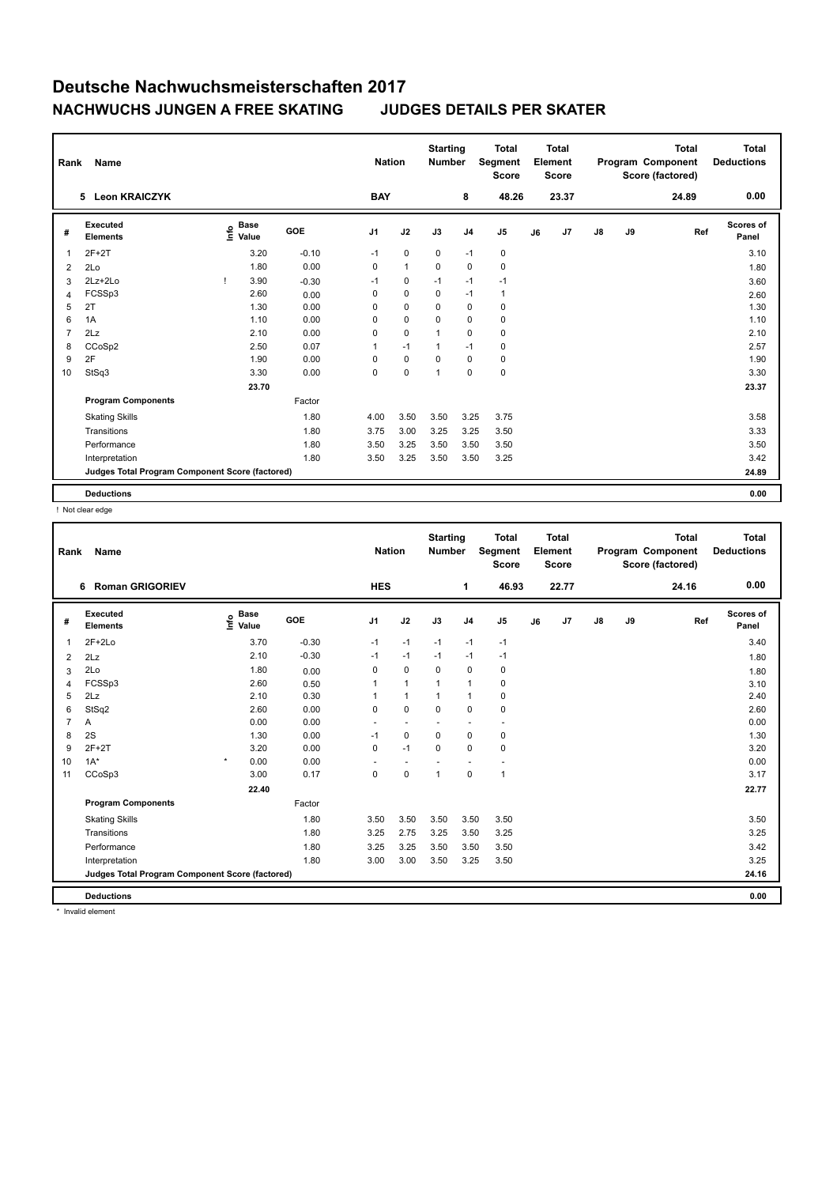| Rank           | Name                                            |                                             |            | <b>Nation</b> |              | <b>Starting</b><br><b>Number</b> |                | <b>Total</b><br>Segment<br><b>Score</b> |    | <b>Total</b><br>Element<br><b>Score</b> |               |    | <b>Total</b><br>Program Component<br>Score (factored) | Total<br><b>Deductions</b> |
|----------------|-------------------------------------------------|---------------------------------------------|------------|---------------|--------------|----------------------------------|----------------|-----------------------------------------|----|-----------------------------------------|---------------|----|-------------------------------------------------------|----------------------------|
|                | <b>Leon KRAICZYK</b><br>5.                      |                                             |            | <b>BAY</b>    |              |                                  | 8              | 48.26                                   |    | 23.37                                   |               |    | 24.89                                                 | 0.00                       |
| #              | Executed<br><b>Elements</b>                     | <b>Base</b><br>e <sup>Base</sup><br>⊆ Value | <b>GOE</b> | J1            | J2           | J3                               | J <sub>4</sub> | J <sub>5</sub>                          | J6 | J7                                      | $\mathsf{J}8$ | J9 | Ref                                                   | <b>Scores of</b><br>Panel  |
| $\mathbf{1}$   | $2F+2T$                                         | 3.20                                        | $-0.10$    | $-1$          | $\pmb{0}$    | 0                                | $-1$           | 0                                       |    |                                         |               |    |                                                       | 3.10                       |
| 2              | 2Lo                                             | 1.80                                        | 0.00       | 0             | $\mathbf{1}$ | 0                                | $\pmb{0}$      | $\pmb{0}$                               |    |                                         |               |    |                                                       | 1.80                       |
| 3              | 2Lz+2Lo                                         | 3.90                                        | $-0.30$    | $-1$          | 0            | $-1$                             | $-1$           | $-1$                                    |    |                                         |               |    |                                                       | 3.60                       |
| 4              | FCSSp3                                          | 2.60                                        | 0.00       | 0             | $\pmb{0}$    | 0                                | $-1$           | $\mathbf{1}$                            |    |                                         |               |    |                                                       | 2.60                       |
| 5              | 2T                                              | 1.30                                        | 0.00       | 0             | $\mathbf 0$  | 0                                | $\pmb{0}$      | 0                                       |    |                                         |               |    |                                                       | 1.30                       |
| 6              | 1A                                              | 1.10                                        | 0.00       | $\Omega$      | $\mathbf 0$  | $\Omega$                         | $\mathbf 0$    | 0                                       |    |                                         |               |    |                                                       | 1.10                       |
| $\overline{7}$ | 2Lz                                             | 2.10                                        | 0.00       | 0             | $\mathbf 0$  | 1                                | $\mathbf 0$    | $\mathbf 0$                             |    |                                         |               |    |                                                       | 2.10                       |
| 8              | CCoSp2                                          | 2.50                                        | 0.07       | 1             | $-1$         | $\mathbf 1$                      | $-1$           | 0                                       |    |                                         |               |    |                                                       | 2.57                       |
| 9              | 2F                                              | 1.90                                        | 0.00       | 0             | $\pmb{0}$    | 0                                | $\pmb{0}$      | $\mathbf 0$                             |    |                                         |               |    |                                                       | 1.90                       |
| 10             | StSq3                                           | 3.30                                        | 0.00       | 0             | $\mathbf 0$  | 1                                | $\mathbf 0$    | $\pmb{0}$                               |    |                                         |               |    |                                                       | 3.30                       |
|                |                                                 | 23.70                                       |            |               |              |                                  |                |                                         |    |                                         |               |    |                                                       | 23.37                      |
|                | <b>Program Components</b>                       |                                             | Factor     |               |              |                                  |                |                                         |    |                                         |               |    |                                                       |                            |
|                | <b>Skating Skills</b>                           |                                             | 1.80       | 4.00          | 3.50         | 3.50                             | 3.25           | 3.75                                    |    |                                         |               |    |                                                       | 3.58                       |
|                | Transitions                                     |                                             | 1.80       | 3.75          | 3.00         | 3.25                             | 3.25           | 3.50                                    |    |                                         |               |    |                                                       | 3.33                       |
|                | Performance                                     |                                             | 1.80       | 3.50          | 3.25         | 3.50                             | 3.50           | 3.50                                    |    |                                         |               |    |                                                       | 3.50                       |
|                | Interpretation                                  |                                             | 1.80       | 3.50          | 3.25         | 3.50                             | 3.50           | 3.25                                    |    |                                         |               |    |                                                       | 3.42                       |
|                | Judges Total Program Component Score (factored) |                                             |            |               |              |                                  |                |                                         |    |                                         |               |    |                                                       | 24.89                      |
|                | <b>Deductions</b>                               |                                             |            |               |              |                                  |                |                                         |    |                                         |               |    |                                                       | 0.00                       |

! Not clear edge

|                | Rank<br>Name<br><b>Roman GRIGORIEV</b><br>6.    |                           |         |                | <b>Nation</b>            | <b>Starting</b><br><b>Number</b> |                | <b>Total</b><br>Segment<br><b>Score</b> |    | <b>Total</b><br>Element<br><b>Score</b> |               |    | <b>Total</b><br>Program Component<br>Score (factored) | <b>Total</b><br><b>Deductions</b> |
|----------------|-------------------------------------------------|---------------------------|---------|----------------|--------------------------|----------------------------------|----------------|-----------------------------------------|----|-----------------------------------------|---------------|----|-------------------------------------------------------|-----------------------------------|
|                |                                                 |                           |         | <b>HES</b>     |                          |                                  | 1              | 46.93                                   |    | 22.77                                   |               |    | 24.16                                                 | 0.00                              |
| #              | Executed<br><b>Elements</b>                     | <b>Base</b><br>e<br>Value | GOE     | J <sub>1</sub> | J2                       | J3                               | J <sub>4</sub> | J5                                      | J6 | J7                                      | $\mathsf{J}8$ | J9 | Ref                                                   | <b>Scores of</b><br>Panel         |
| 1              | $2F+2Lo$                                        | 3.70                      | $-0.30$ | $-1$           | $-1$                     | $-1$                             | $-1$           | $-1$                                    |    |                                         |               |    |                                                       | 3.40                              |
| $\overline{2}$ | 2Lz                                             | 2.10                      | $-0.30$ | $-1$           | $-1$                     | $-1$                             | $-1$           | -1                                      |    |                                         |               |    |                                                       | 1.80                              |
| 3              | 2Lo                                             | 1.80                      | 0.00    | 0              | $\mathbf 0$              | 0                                | $\mathbf 0$    | 0                                       |    |                                         |               |    |                                                       | 1.80                              |
| 4              | FCSSp3                                          | 2.60                      | 0.50    | 1              | $\mathbf{1}$             | $\mathbf{1}$                     | $\mathbf{1}$   | 0                                       |    |                                         |               |    |                                                       | 3.10                              |
| 5              | 2Lz                                             | 2.10                      | 0.30    | $\mathbf{1}$   | $\mathbf{1}$             | $\mathbf{1}$                     | $\overline{1}$ | $\pmb{0}$                               |    |                                         |               |    |                                                       | 2.40                              |
| 6              | StSq2                                           | 2.60                      | 0.00    | 0              | $\mathbf 0$              | $\Omega$                         | $\mathbf 0$    | $\pmb{0}$                               |    |                                         |               |    |                                                       | 2.60                              |
| $\overline{7}$ | Α                                               | 0.00                      | 0.00    | ٠              | $\overline{\phantom{a}}$ |                                  | ÷              | ٠                                       |    |                                         |               |    |                                                       | 0.00                              |
| 8              | 2S                                              | 1.30                      | 0.00    | $-1$           | $\mathbf 0$              | $\mathbf 0$                      | $\mathbf 0$    | $\mathbf 0$                             |    |                                         |               |    |                                                       | 1.30                              |
| 9              | $2F+2T$                                         | 3.20                      | 0.00    | 0              | $-1$                     | 0                                | $\mathbf 0$    | $\pmb{0}$                               |    |                                         |               |    |                                                       | 3.20                              |
| 10             | $1A^*$                                          | $\star$<br>0.00           | 0.00    | ÷              | $\overline{\phantom{a}}$ |                                  | ÷              | $\overline{\phantom{a}}$                |    |                                         |               |    |                                                       | 0.00                              |
| 11             | CCoSp3                                          | 3.00                      | 0.17    | 0              | 0                        | $\overline{1}$                   | $\pmb{0}$      | $\mathbf{1}$                            |    |                                         |               |    |                                                       | 3.17                              |
|                |                                                 | 22.40                     |         |                |                          |                                  |                |                                         |    |                                         |               |    |                                                       | 22.77                             |
|                | <b>Program Components</b>                       |                           | Factor  |                |                          |                                  |                |                                         |    |                                         |               |    |                                                       |                                   |
|                | <b>Skating Skills</b>                           |                           | 1.80    | 3.50           | 3.50                     | 3.50                             | 3.50           | 3.50                                    |    |                                         |               |    |                                                       | 3.50                              |
|                | Transitions                                     |                           | 1.80    | 3.25           | 2.75                     | 3.25                             | 3.50           | 3.25                                    |    |                                         |               |    |                                                       | 3.25                              |
|                | Performance                                     |                           | 1.80    | 3.25           | 3.25                     | 3.50                             | 3.50           | 3.50                                    |    |                                         |               |    |                                                       | 3.42                              |
|                | Interpretation                                  |                           | 1.80    | 3.00           | 3.00                     | 3.50                             | 3.25           | 3.50                                    |    |                                         |               |    |                                                       | 3.25                              |
|                | Judges Total Program Component Score (factored) |                           |         |                |                          |                                  |                |                                         |    |                                         |               |    |                                                       | 24.16                             |
|                | <b>Deductions</b>                               |                           |         |                |                          |                                  |                |                                         |    |                                         |               |    |                                                       | 0.00                              |
|                | * Invalid element                               |                           |         |                |                          |                                  |                |                                         |    |                                         |               |    |                                                       |                                   |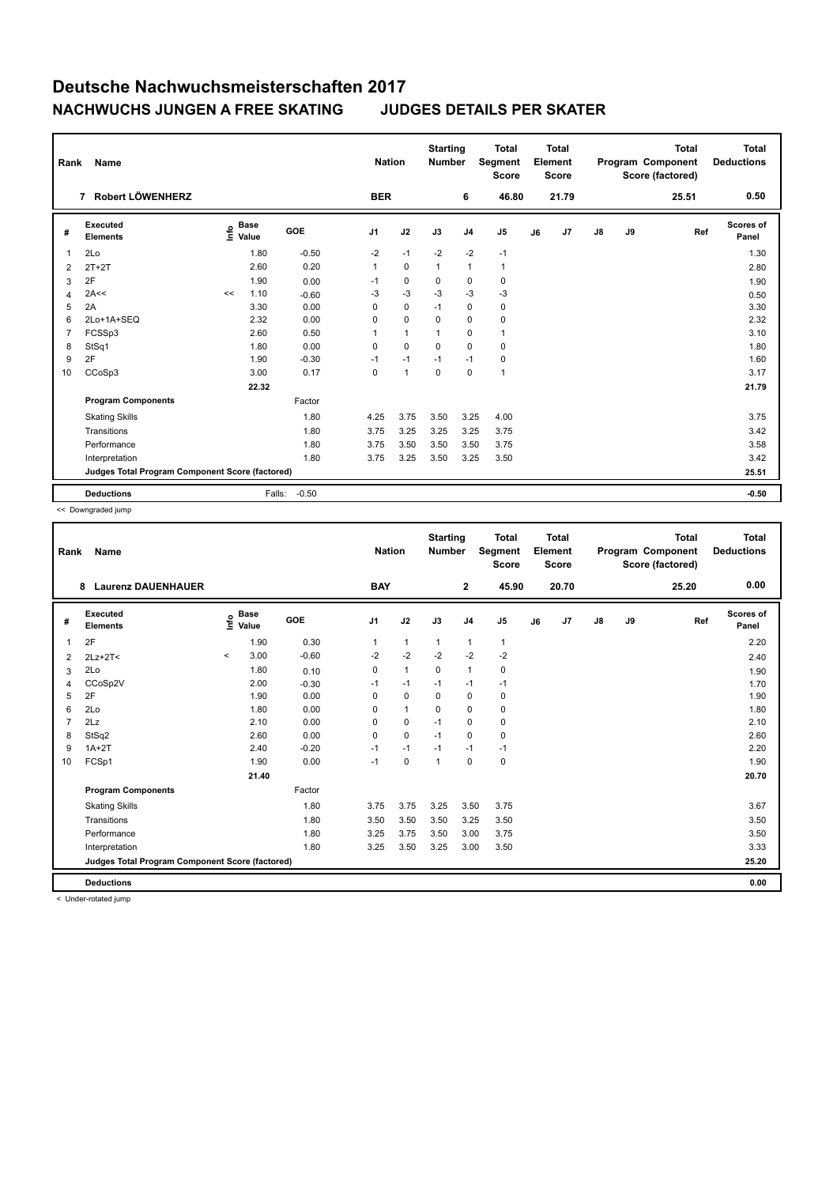| Rank | Name<br>Robert LÖWENHERZ<br>7                   |    |                                    |         |                | <b>Nation</b>  | <b>Starting</b><br><b>Number</b> |                | <b>Total</b><br>Segment<br><b>Score</b> |    | Total<br>Element<br><b>Score</b> |               |    | <b>Total</b><br>Program Component<br>Score (factored) | Total<br><b>Deductions</b> |
|------|-------------------------------------------------|----|------------------------------------|---------|----------------|----------------|----------------------------------|----------------|-----------------------------------------|----|----------------------------------|---------------|----|-------------------------------------------------------|----------------------------|
|      |                                                 |    |                                    |         | <b>BER</b>     |                |                                  | 6              | 46.80                                   |    | 21.79                            |               |    | 25.51                                                 | 0.50                       |
| #    | Executed<br><b>Elements</b>                     |    | <b>Base</b><br>$\frac{6}{5}$ Value | GOE     | J <sub>1</sub> | J2             | J3                               | J <sub>4</sub> | J <sub>5</sub>                          | J6 | J7                               | $\mathsf{J}8$ | J9 | Ref                                                   | Scores of<br>Panel         |
| 1    | 2Lo                                             |    | 1.80                               | $-0.50$ | $-2$           | $-1$           | $-2$                             | $-2$           | $-1$                                    |    |                                  |               |    |                                                       | 1.30                       |
| 2    | $2T+2T$                                         |    | 2.60                               | 0.20    | $\mathbf{1}$   | $\mathbf 0$    | $\mathbf{1}$                     | $\overline{1}$ | $\mathbf{1}$                            |    |                                  |               |    |                                                       | 2.80                       |
| 3    | 2F                                              |    | 1.90                               | 0.00    | $-1$           | $\mathbf 0$    | 0                                | $\pmb{0}$      | 0                                       |    |                                  |               |    |                                                       | 1.90                       |
| 4    | 2A<<                                            | << | 1.10                               | $-0.60$ | $-3$           | $-3$           | $-3$                             | $-3$           | $-3$                                    |    |                                  |               |    |                                                       | 0.50                       |
| 5    | 2A                                              |    | 3.30                               | 0.00    | 0              | 0              | $-1$                             | 0              | 0                                       |    |                                  |               |    |                                                       | 3.30                       |
| 6    | 2Lo+1A+SEQ                                      |    | 2.32                               | 0.00    | 0              | $\mathbf 0$    | $\mathbf 0$                      | $\mathbf 0$    | 0                                       |    |                                  |               |    |                                                       | 2.32                       |
| 7    | FCSSp3                                          |    | 2.60                               | 0.50    | 1              | $\overline{1}$ | $\mathbf{1}$                     | $\mathbf 0$    | $\mathbf{1}$                            |    |                                  |               |    |                                                       | 3.10                       |
| 8    | StSq1                                           |    | 1.80                               | 0.00    | 0              | $\mathbf 0$    | $\mathbf 0$                      | $\mathbf 0$    | 0                                       |    |                                  |               |    |                                                       | 1.80                       |
| 9    | 2F                                              |    | 1.90                               | $-0.30$ | $-1$           | $-1$           | $-1$                             | $-1$           | 0                                       |    |                                  |               |    |                                                       | 1.60                       |
| 10   | CCoSp3                                          |    | 3.00                               | 0.17    | 0              | $\overline{1}$ | $\mathbf 0$                      | 0              | $\mathbf{1}$                            |    |                                  |               |    |                                                       | 3.17                       |
|      |                                                 |    | 22.32                              |         |                |                |                                  |                |                                         |    |                                  |               |    |                                                       | 21.79                      |
|      | <b>Program Components</b>                       |    |                                    | Factor  |                |                |                                  |                |                                         |    |                                  |               |    |                                                       |                            |
|      | <b>Skating Skills</b>                           |    |                                    | 1.80    | 4.25           | 3.75           | 3.50                             | 3.25           | 4.00                                    |    |                                  |               |    |                                                       | 3.75                       |
|      | Transitions                                     |    |                                    | 1.80    | 3.75           | 3.25           | 3.25                             | 3.25           | 3.75                                    |    |                                  |               |    |                                                       | 3.42                       |
|      | Performance                                     |    |                                    | 1.80    | 3.75           | 3.50           | 3.50                             | 3.50           | 3.75                                    |    |                                  |               |    |                                                       | 3.58                       |
|      | Interpretation                                  |    |                                    | 1.80    | 3.75           | 3.25           | 3.50                             | 3.25           | 3.50                                    |    |                                  |               |    |                                                       | 3.42                       |
|      | Judges Total Program Component Score (factored) |    |                                    |         |                |                |                                  |                |                                         |    |                                  |               |    |                                                       | 25.51                      |
|      | <b>Deductions</b>                               |    | Falls:                             | $-0.50$ |                |                |                                  |                |                                         |    |                                  |               |    |                                                       | $-0.50$                    |

<< Downgraded jump

| Rank           | Name<br><b>Laurenz DAUENHAUER</b><br>8          |           |                                             |         | <b>Nation</b>  |              | <b>Starting</b><br><b>Number</b> |                | <b>Total</b><br>Segment<br><b>Score</b> |    | <b>Total</b><br>Element<br><b>Score</b> |               |    | <b>Total</b><br>Program Component<br>Score (factored) | <b>Total</b><br><b>Deductions</b> |
|----------------|-------------------------------------------------|-----------|---------------------------------------------|---------|----------------|--------------|----------------------------------|----------------|-----------------------------------------|----|-----------------------------------------|---------------|----|-------------------------------------------------------|-----------------------------------|
|                |                                                 |           |                                             |         | <b>BAY</b>     |              |                                  | $\mathbf{2}$   | 45.90                                   |    | 20.70                                   |               |    | 25.20                                                 | 0.00                              |
| #              | <b>Executed</b><br><b>Elements</b>              |           | <b>Base</b><br>e <sup>Base</sup><br>⊆ Value | GOE     | J <sub>1</sub> | J2           | J3                               | J <sub>4</sub> | J <sub>5</sub>                          | J6 | J7                                      | $\mathsf{J}8$ | J9 | Ref                                                   | <b>Scores of</b><br>Panel         |
| 1              | 2F                                              |           | 1.90                                        | 0.30    | $\mathbf{1}$   | $\mathbf{1}$ | $\mathbf{1}$                     | $\mathbf{1}$   | $\mathbf{1}$                            |    |                                         |               |    |                                                       | 2.20                              |
| $\overline{2}$ | $2Lz+2T<$                                       | $\hat{~}$ | 3.00                                        | $-0.60$ | $-2$           | $-2$         | $-2$                             | $-2$           | $-2$                                    |    |                                         |               |    |                                                       | 2.40                              |
| 3              | 2Lo                                             |           | 1.80                                        | 0.10    | 0              | $\mathbf{1}$ | 0                                | $\mathbf{1}$   | 0                                       |    |                                         |               |    |                                                       | 1.90                              |
| 4              | CCoSp2V                                         |           | 2.00                                        | $-0.30$ | $-1$           | $-1$         | $-1$                             | $-1$           | $-1$                                    |    |                                         |               |    |                                                       | 1.70                              |
| 5              | 2F                                              |           | 1.90                                        | 0.00    | 0              | $\mathbf 0$  | 0                                | $\mathbf 0$    | $\mathbf 0$                             |    |                                         |               |    |                                                       | 1.90                              |
| 6              | 2Lo                                             |           | 1.80                                        | 0.00    | $\Omega$       | $\mathbf{1}$ | $\Omega$                         | $\mathbf 0$    | $\pmb{0}$                               |    |                                         |               |    |                                                       | 1.80                              |
| 7              | 2Lz                                             |           | 2.10                                        | 0.00    | 0              | 0            | $-1$                             | $\pmb{0}$      | 0                                       |    |                                         |               |    |                                                       | 2.10                              |
| 8              | StSq2                                           |           | 2.60                                        | 0.00    | $\Omega$       | $\mathbf 0$  | $-1$                             | 0              | $\pmb{0}$                               |    |                                         |               |    |                                                       | 2.60                              |
| 9              | $1A+2T$                                         |           | 2.40                                        | $-0.20$ | $-1$           | $-1$         | $-1$                             | $-1$           | $-1$                                    |    |                                         |               |    |                                                       | 2.20                              |
| 10             | FCSp1                                           |           | 1.90                                        | 0.00    | $-1$           | $\mathbf 0$  | 1                                | $\mathbf 0$    | $\pmb{0}$                               |    |                                         |               |    |                                                       | 1.90                              |
|                |                                                 |           | 21.40                                       |         |                |              |                                  |                |                                         |    |                                         |               |    |                                                       | 20.70                             |
|                | <b>Program Components</b>                       |           |                                             | Factor  |                |              |                                  |                |                                         |    |                                         |               |    |                                                       |                                   |
|                | <b>Skating Skills</b>                           |           |                                             | 1.80    | 3.75           | 3.75         | 3.25                             | 3.50           | 3.75                                    |    |                                         |               |    |                                                       | 3.67                              |
|                | Transitions                                     |           |                                             | 1.80    | 3.50           | 3.50         | 3.50                             | 3.25           | 3.50                                    |    |                                         |               |    |                                                       | 3.50                              |
|                | Performance                                     |           |                                             | 1.80    | 3.25           | 3.75         | 3.50                             | 3.00           | 3.75                                    |    |                                         |               |    |                                                       | 3.50                              |
|                | Interpretation                                  |           |                                             | 1.80    | 3.25           | 3.50         | 3.25                             | 3.00           | 3.50                                    |    |                                         |               |    |                                                       | 3.33                              |
|                | Judges Total Program Component Score (factored) |           |                                             |         |                |              |                                  |                |                                         |    |                                         |               |    |                                                       | 25.20                             |
|                | <b>Deductions</b>                               |           |                                             |         |                |              |                                  |                |                                         |    |                                         |               |    |                                                       | 0.00                              |
|                |                                                 |           |                                             |         |                |              |                                  |                |                                         |    |                                         |               |    |                                                       |                                   |

< Under-rotated jump